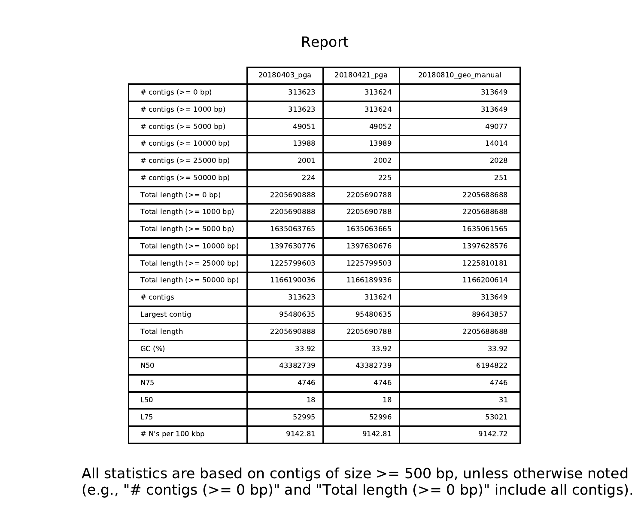## Report

|                              | 20180403_pga | 20180421 pga | 20180810 geo manual |
|------------------------------|--------------|--------------|---------------------|
| # contigs $(>= 0$ bp)        | 313623       | 313624       | 313649              |
| # contigs $(>= 1000$ bp)     | 313623       | 313624       | 313649              |
| # contigs $(>= 5000$ bp)     | 49051        | 49052        | 49077               |
| # contigs $(>= 10000$ bp)    | 13988        | 13989        | 14014               |
| # contigs $(>= 25000$ bp)    | 2001         | 2002         | 2028                |
| # contigs $(>= 50000$ bp)    | 224          | 225          | 251                 |
| Total length $(>= 0$ bp)     | 2205690888   | 2205690788   | 2205688688          |
| Total length $(>= 1000$ bp)  | 2205690888   | 2205690788   | 2205688688          |
| Total length $(>= 5000$ bp)  | 1635063765   | 1635063665   | 1635061565          |
| Total length $(>= 10000$ bp) | 1397630776   | 1397630676   | 1397628576          |
| Total length $(>= 25000$ bp) | 1225799603   | 1225799503   | 1225810181          |
| Total length $(>= 50000$ bp) | 1166190036   | 1166189936   | 1166200614          |
| # contigs                    | 313623       | 313624       | 313649              |
| Largest contig               | 95480635     | 95480635     | 89643857            |
| <b>Total length</b>          | 2205690888   | 2205690788   | 2205688688          |
| GC (%)                       | 33.92        | 33.92        | 33.92               |
| N50                          | 43382739     | 43382739     | 6194822             |
| N75                          | 4746         | 4746         | 4746                |
| <b>L50</b>                   | 18           | 18           | 31                  |
| <b>L75</b>                   | 52995        | 52996        | 53021               |
| # N's per 100 kbp            | 9142.81      | 9142.81      | 9142.72             |

All statistics are based on contigs of size >= 500 bp, unless otherwise noted (e.g., "# contigs (>= 0 bp)" and "Total length (>= 0 bp)" include all contigs).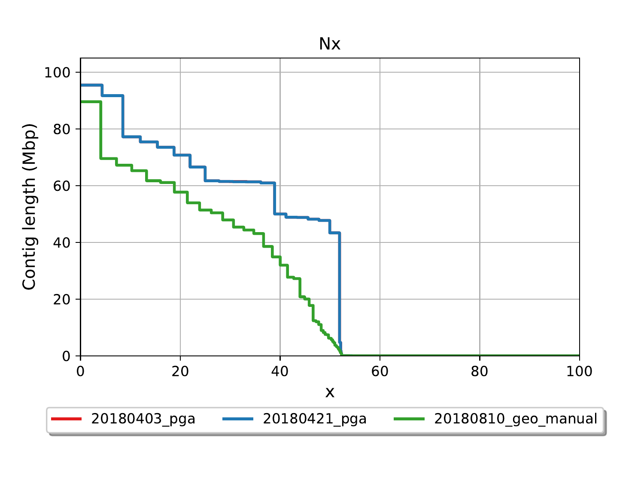

Nx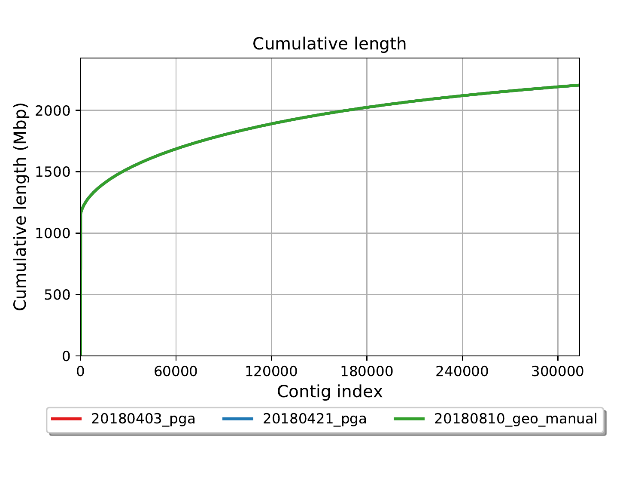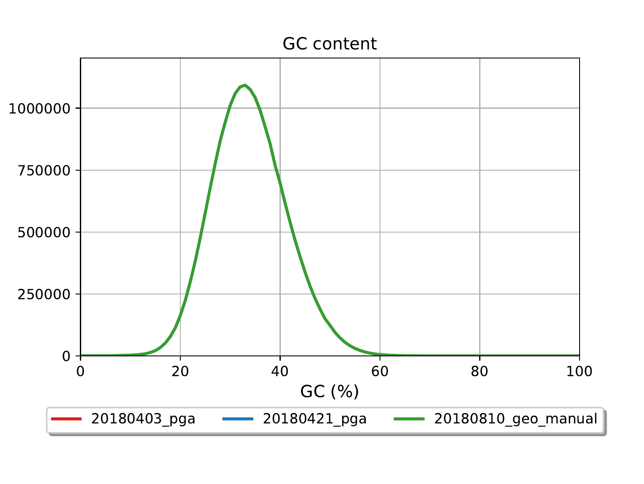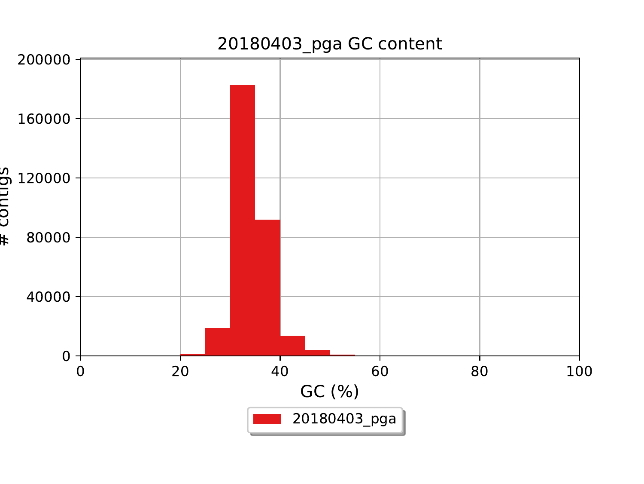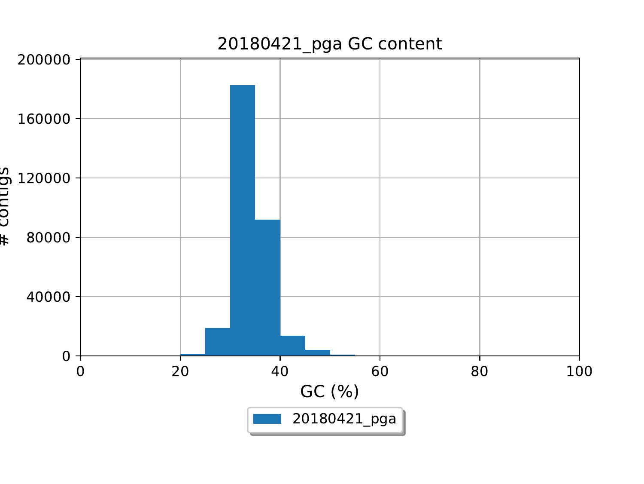